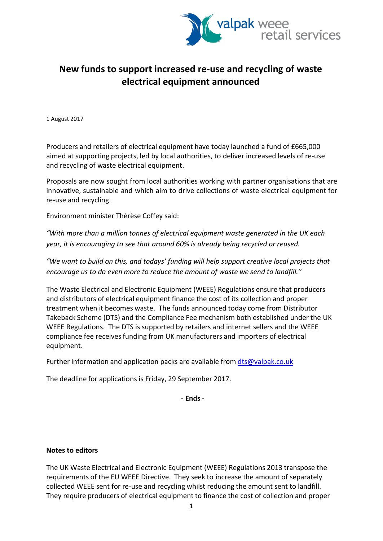

## **New funds to support increased re-use and recycling of waste electrical equipment announced**

1 August 2017

Producers and retailers of electrical equipment have today launched a fund of £665,000 aimed at supporting projects, led by local authorities, to deliver increased levels of re-use and recycling of waste electrical equipment.

Proposals are now sought from local authorities working with partner organisations that are innovative, sustainable and which aim to drive collections of waste electrical equipment for re-use and recycling.

Environment minister Thérèse Coffey said:

*"With more than a million tonnes of electrical equipment waste generated in the UK each year, it is encouraging to see that around 60% is already being recycled or reused.*

*"We want to build on this, and todays' funding will help support creative local projects that encourage us to do even more to reduce the amount of waste we send to landfill."*

The Waste Electrical and Electronic Equipment (WEEE) Regulations ensure that producers and distributors of electrical equipment finance the cost of its collection and proper treatment when it becomes waste. The funds announced today come from Distributor Takeback Scheme (DTS) and the Compliance Fee mechanism both established under the UK WEEE Regulations. The DTS is supported by retailers and internet sellers and the WEEE compliance fee receives funding from UK manufacturers and importers of electrical equipment.

Further information and application packs are available from [dts@valpak.co.uk](mailto:dts@valpak.co.uk)

The deadline for applications is Friday, 29 September 2017.

**- Ends -**

## **Notes to editors**

The UK Waste Electrical and Electronic Equipment (WEEE) Regulations 2013 transpose the requirements of the EU WEEE Directive. They seek to increase the amount of separately collected WEEE sent for re-use and recycling whilst reducing the amount sent to landfill. They require producers of electrical equipment to finance the cost of collection and proper